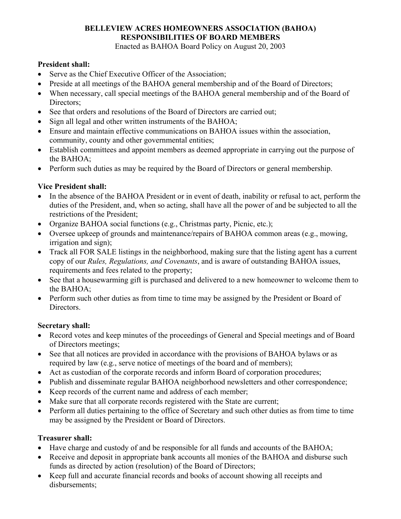# **BELLEVIEW ACRES HOMEOWNERS ASSOCIATION (BAHOA) RESPONSIBILITIES OF BOARD MEMBERS**

Enacted as BAHOA Board Policy on August 20, 2003

## **President shall:**

- Serve as the Chief Executive Officer of the Association;
- Preside at all meetings of the BAHOA general membership and of the Board of Directors;
- When necessary, call special meetings of the BAHOA general membership and of the Board of Directors:
- See that orders and resolutions of the Board of Directors are carried out;
- Sign all legal and other written instruments of the BAHOA;
- Ensure and maintain effective communications on BAHOA issues within the association, community, county and other governmental entities;
- Establish committees and appoint members as deemed appropriate in carrying out the purpose of the BAHOA;
- Perform such duties as may be required by the Board of Directors or general membership.

# **Vice President shall:**

- In the absence of the BAHOA President or in event of death, inability or refusal to act, perform the duties of the President, and, when so acting, shall have all the power of and be subjected to all the restrictions of the President;
- Organize BAHOA social functions (e.g., Christmas party, Picnic, etc.);
- Oversee upkeep of grounds and maintenance/repairs of BAHOA common areas (e.g., mowing, irrigation and sign);
- Track all FOR SALE listings in the neighborhood, making sure that the listing agent has a current copy of our *Rules, Regulations, and Covenants*, and is aware of outstanding BAHOA issues, requirements and fees related to the property;
- See that a housewarming gift is purchased and delivered to a new homeowner to welcome them to the BAHOA;
- Perform such other duties as from time to time may be assigned by the President or Board of Directors.

# **Secretary shall:**

- Record votes and keep minutes of the proceedings of General and Special meetings and of Board of Directors meetings;
- See that all notices are provided in accordance with the provisions of BAHOA bylaws or as required by law (e.g., serve notice of meetings of the board and of members);
- Act as custodian of the corporate records and inform Board of corporation procedures;
- Publish and disseminate regular BAHOA neighborhood newsletters and other correspondence;
- Keep records of the current name and address of each member;
- Make sure that all corporate records registered with the State are current;
- Perform all duties pertaining to the office of Secretary and such other duties as from time to time may be assigned by the President or Board of Directors.

# **Treasurer shall:**

- Have charge and custody of and be responsible for all funds and accounts of the BAHOA;
- Receive and deposit in appropriate bank accounts all monies of the BAHOA and disburse such funds as directed by action (resolution) of the Board of Directors;
- Keep full and accurate financial records and books of account showing all receipts and disbursements;